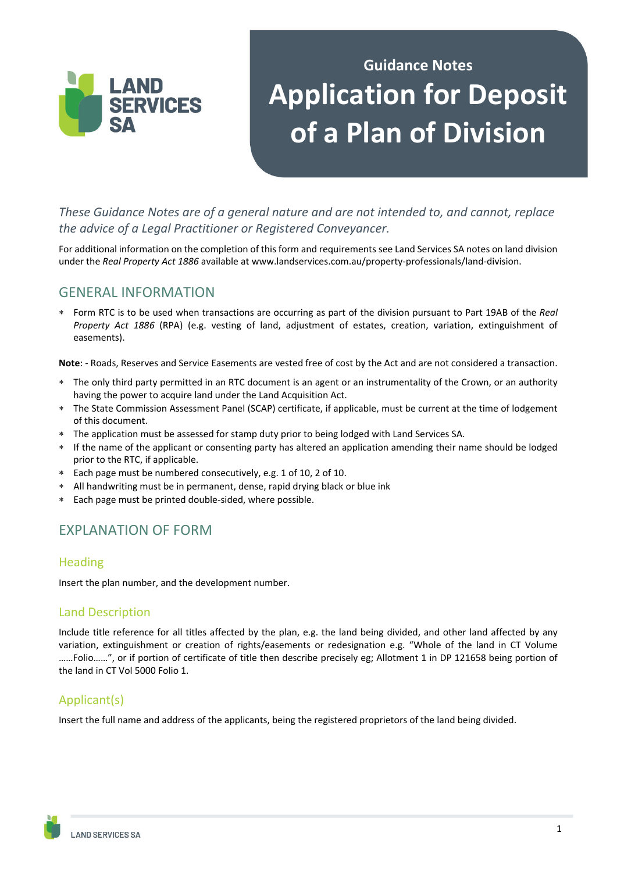

# **Guidance Notes Application for Deposit of a Plan of Division**

*These Guidance Notes are of a general nature and are not intended to, and cannot, replace the advice of a Legal Practitioner or Registered Conveyancer.* 

For additional information on the completion of this form and requirements see Land Services SA notes on land division under the *Real Property Act 1886* available at www.landservices.com.au/property-professionals/land-division.

# GENERAL INFORMATION

 Form RTC is to be used when transactions are occurring as part of the division pursuant to Part 19AB of the *Real Property Act 1886* (RPA) (e.g. vesting of land, adjustment of estates, creation, variation, extinguishment of easements).

**Note**: - Roads, Reserves and Service Easements are vested free of cost by the Act and are not considered a transaction.

- The only third party permitted in an RTC document is an agent or an instrumentality of the Crown, or an authority having the power to acquire land under the Land Acquisition Act.
- The State Commission Assessment Panel (SCAP) certificate, if applicable, must be current at the time of lodgement of this document.
- The application must be assessed for stamp duty prior to being lodged with Land Services SA.
- If the name of the applicant or consenting party has altered an application amending their name should be lodged prior to the RTC, if applicable.
- Each page must be numbered consecutively, e.g. 1 of 10, 2 of 10.
- All handwriting must be in permanent, dense, rapid drying black or blue ink
- Each page must be printed double-sided, where possible.

# EXPLANATION OF FORM

#### Heading

Insert the plan number, and the development number.

#### Land Description

Include title reference for all titles affected by the plan, e.g. the land being divided, and other land affected by any variation, extinguishment or creation of rights/easements or redesignation e.g. "Whole of the land in CT Volume ……Folio……", or if portion of certificate of title then describe precisely eg; Allotment 1 in DP 121658 being portion of the land in CT Vol 5000 Folio 1.

## Applicant(s)

Insert the full name and address of the applicants, being the registered proprietors of the land being divided.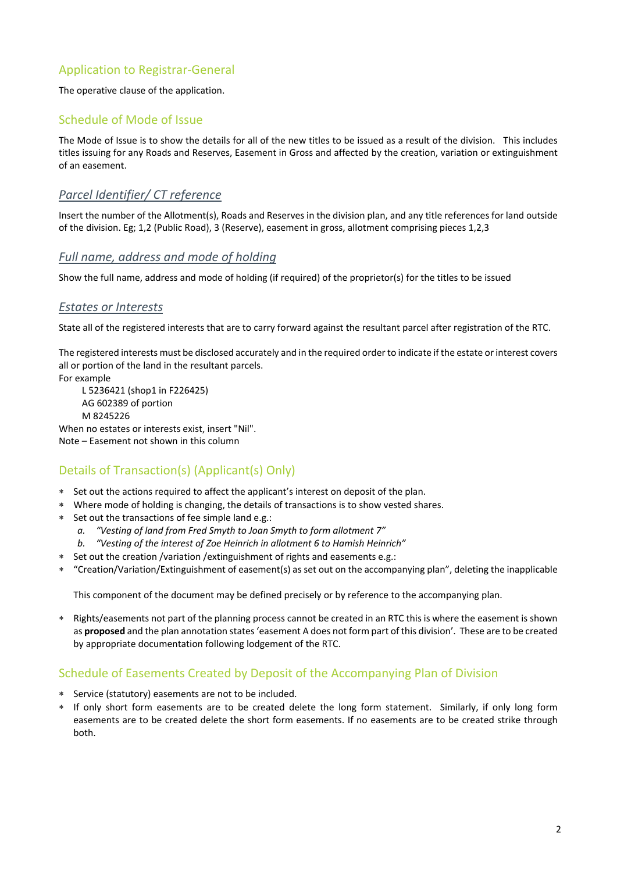## Application to Registrar-General

The operative clause of the application.

#### Schedule of Mode of Issue

The Mode of Issue is to show the details for all of the new titles to be issued as a result of the division. This includes titles issuing for any Roads and Reserves, Easement in Gross and affected by the creation, variation or extinguishment of an easement.

#### *Parcel Identifier/ CT reference*

Insert the number of the Allotment(s), Roads and Reserves in the division plan, and any title references for land outside of the division. Eg; 1,2 (Public Road), 3 (Reserve), easement in gross, allotment comprising pieces 1,2,3

#### *Full name, address and mode of holding*

Show the full name, address and mode of holding (if required) of the proprietor(s) for the titles to be issued

#### *Estates or Interests*

State all of the registered interests that are to carry forward against the resultant parcel after registration of the RTC.

The registered interests must be disclosed accurately and in the required order to indicate if the estate or interest covers all or portion of the land in the resultant parcels.

For example

 L 5236421 (shop1 in F226425) AG 602389 of portion M 8245226 When no estates or interests exist, insert "Nil".

Note – Easement not shown in this column

## Details of Transaction(s) (Applicant(s) Only)

- Set out the actions required to affect the applicant's interest on deposit of the plan.
- Where mode of holding is changing, the details of transactions is to show vested shares.
- Set out the transactions of fee simple land e.g.:
	- *a. "Vesting of land from Fred Smyth to Joan Smyth to form allotment 7"*
	- *b. "Vesting of the interest of Zoe Heinrich in allotment 6 to Hamish Heinrich"*
- Set out the creation /variation /extinguishment of rights and easements e.g.:
- "Creation/Variation/Extinguishment of easement(s) as set out on the accompanying plan", deleting the inapplicable

This component of the document may be defined precisely or by reference to the accompanying plan.

 Rights/easements not part of the planning process cannot be created in an RTC this is where the easement is shown as **proposed** and the plan annotation states 'easement A does not form part of this division'. These are to be created by appropriate documentation following lodgement of the RTC.

#### Schedule of Easements Created by Deposit of the Accompanying Plan of Division

- Service (statutory) easements are not to be included.
- If only short form easements are to be created delete the long form statement. Similarly, if only long form easements are to be created delete the short form easements. If no easements are to be created strike through both.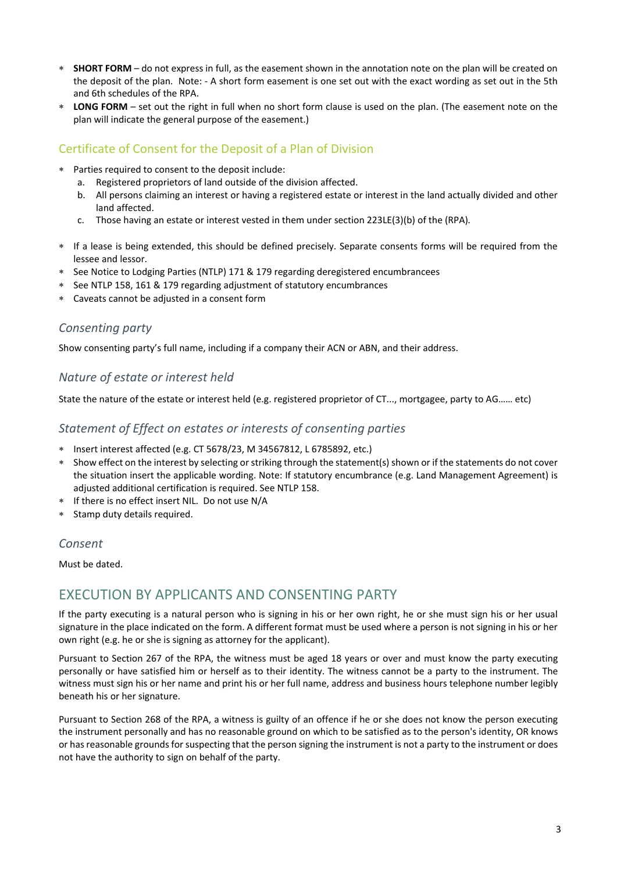- **SHORT FORM** do not express in full, as the easement shown in the annotation note on the plan will be created on the deposit of the plan. Note: - A short form easement is one set out with the exact wording as set out in the 5th and 6th schedules of the RPA.
- **LONG FORM** set out the right in full when no short form clause is used on the plan. (The easement note on the plan will indicate the general purpose of the easement.)

### Certificate of Consent for the Deposit of a Plan of Division

- Parties required to consent to the deposit include:
	- a. Registered proprietors of land outside of the division affected.
	- b. All persons claiming an interest or having a registered estate or interest in the land actually divided and other land affected.
	- c. Those having an estate or interest vested in them under section 223LE(3)(b) of the (RPA)*.*
- If a lease is being extended, this should be defined precisely. Separate consents forms will be required from the lessee and lessor.
- \* See Notice to Lodging Parties (NTLP) 171 & 179 regarding deregistered encumbrancees
- See NTLP 158, 161 & 179 regarding adjustment of statutory encumbrances
- Caveats cannot be adjusted in a consent form

#### *Consenting party*

Show consenting party's full name, including if a company their ACN or ABN, and their address.

#### *Nature of estate or interest held*

State the nature of the estate or interest held (e.g. registered proprietor of CT..., mortgagee, party to AG…… etc)

#### *Statement of Effect on estates or interests of consenting parties*

- Insert interest affected (e.g. CT 5678/23, M 34567812, L 6785892, etc.)
- \* Show effect on the interest by selecting or striking through the statement(s) shown or if the statements do not cover the situation insert the applicable wording. Note: If statutory encumbrance (e.g. Land Management Agreement) is adjusted additional certification is required. See NTLP 158.
- If there is no effect insert NIL. Do not use N/A
- Stamp duty details required.

#### *Consent*

Must be dated.

## EXECUTION BY APPLICANTS AND CONSENTING PARTY

If the party executing is a natural person who is signing in his or her own right, he or she must sign his or her usual signature in the place indicated on the form. A different format must be used where a person is not signing in his or her own right (e.g. he or she is signing as attorney for the applicant).

Pursuant to Section 267 of the RPA, the witness must be aged 18 years or over and must know the party executing personally or have satisfied him or herself as to their identity. The witness cannot be a party to the instrument. The witness must sign his or her name and print his or her full name, address and business hours telephone number legibly beneath his or her signature.

Pursuant to Section 268 of the RPA, a witness is guilty of an offence if he or she does not know the person executing the instrument personally and has no reasonable ground on which to be satisfied as to the person's identity, OR knows or has reasonable grounds for suspecting that the person signing the instrument is not a party to the instrument or does not have the authority to sign on behalf of the party.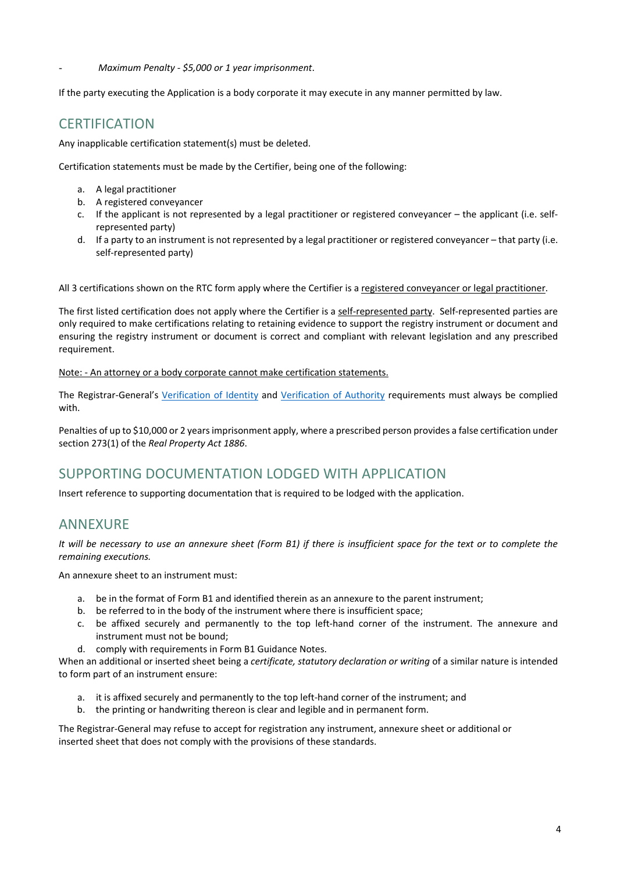- *Maximum Penalty ‐ \$5,000 or 1 year imprisonment*.

If the party executing the Application is a body corporate it may execute in any manner permitted by law.

# **CERTIFICATION**

Any inapplicable certification statement(s) must be deleted.

Certification statements must be made by the Certifier, being one of the following:

- a. A legal practitioner
- b. A registered conveyancer
- c. If the applicant is not represented by a legal practitioner or registered conveyancer the applicant (i.e. selfrepresented party)
- d. If a party to an instrument is not represented by a legal practitioner or registered conveyancer that party (i.e. self-represented party)

All 3 certifications shown on the RTC form apply where the Certifier is a registered conveyancer or legal practitioner.

The first listed certification does not apply where the Certifier is a self-represented party. Self-represented parties are only required to make certifications relating to retaining evidence to support the registry instrument or document and ensuring the registry instrument or document is correct and compliant with relevant legislation and any prescribed requirement.

Note: - An attorney or a body corporate cannot make certification statements.

The Registrar-General's Verification of Identity and Verification of Authority requirements must always be complied with.

Penalties of up to \$10,000 or 2 years imprisonment apply, where a prescribed person provides a false certification under section 273(1) of the *Real Property Act 1886*.

# SUPPORTING DOCUMENTATION LODGED WITH APPLICATION

Insert reference to supporting documentation that is required to be lodged with the application.

# ANNEXURE

It will be necessary to use an annexure sheet (Form B1) if there is insufficient space for the text or to complete the *remaining executions.*

An annexure sheet to an instrument must:

- a. be in the format of Form B1 and identified therein as an annexure to the parent instrument;
- b. be referred to in the body of the instrument where there is insufficient space;
- c. be affixed securely and permanently to the top left-hand corner of the instrument. The annexure and instrument must not be bound;
- d. comply with requirements in Form B1 Guidance Notes.

When an additional or inserted sheet being a *certificate, statutory declaration or writing* of a similar nature is intended to form part of an instrument ensure:

- a. it is affixed securely and permanently to the top left-hand corner of the instrument; and
- b. the printing or handwriting thereon is clear and legible and in permanent form.

The Registrar-General may refuse to accept for registration any instrument, annexure sheet or additional or inserted sheet that does not comply with the provisions of these standards.